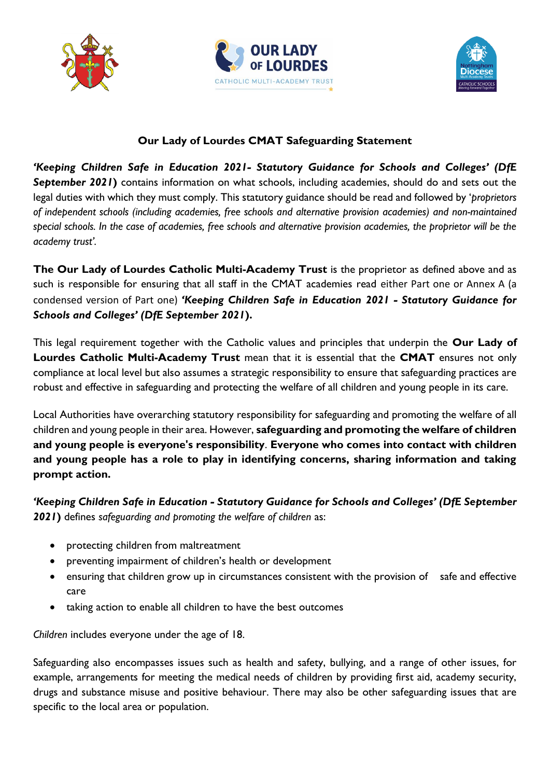





## **Our Lady of Lourdes CMAT Safeguarding Statement**

*'Keeping Children Safe in Education 2021- Statutory Guidance for Schools and Colleges' (DfE September 2021***)** contains information on what schools, including academies, should do and sets out the legal duties with which they must comply. This statutory guidance should be read and followed by '*proprietors of independent schools (including academies, free schools and alternative provision academies) and non-maintained special schools. In the case of academies, free schools and alternative provision academies, the proprietor will be the academy trust'.*

**The Our Lady of Lourdes Catholic Multi-Academy Trust** is the proprietor as defined above and as such is responsible for ensuring that all staff in the CMAT academies read either Part one or Annex A (a condensed version of Part one) *'Keeping Children Safe in Education 2021 - Statutory Guidance for Schools and Colleges' (DfE September 2021***).**

This legal requirement together with the Catholic values and principles that underpin the **Our Lady of Lourdes Catholic Multi-Academy Trust** mean that it is essential that the **CMAT** ensures not only compliance at local level but also assumes a strategic responsibility to ensure that safeguarding practices are robust and effective in safeguarding and protecting the welfare of all children and young people in its care.

Local Authorities have overarching statutory responsibility for safeguarding and promoting the welfare of all children and young people in their area. However, **safeguarding and promoting the welfare of children and young people is everyone's responsibility**. **Everyone who comes into contact with children and young people has a role to play in identifying concerns, sharing information and taking prompt action.** 

*'Keeping Children Safe in Education - Statutory Guidance for Schools and Colleges' (DfE September 2021***)** defines *safeguarding and promoting the welfare of children* as:

- protecting children from maltreatment
- preventing impairment of children's health or development
- ensuring that children grow up in circumstances consistent with the provision of safe and effective care
- taking action to enable all children to have the best outcomes

*Children* includes everyone under the age of 18.

Safeguarding also encompasses issues such as health and safety, bullying, and a range of other issues, for example, arrangements for meeting the medical needs of children by providing first aid, academy security, drugs and substance misuse and positive behaviour. There may also be other safeguarding issues that are specific to the local area or population.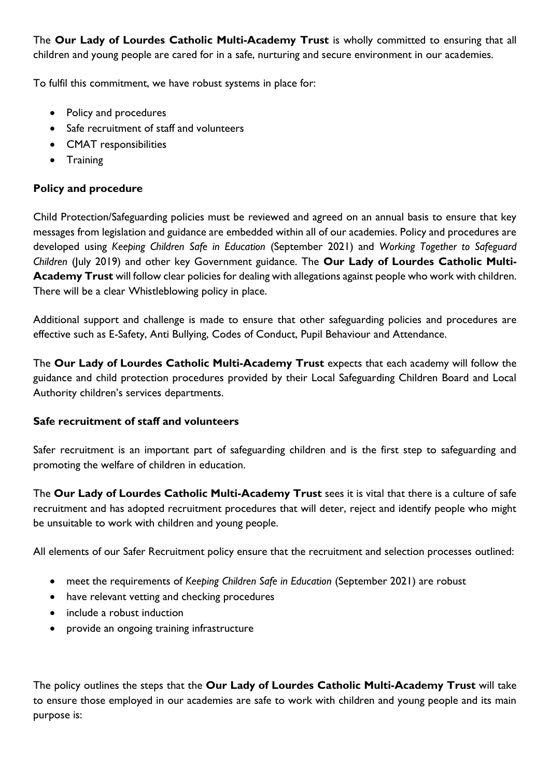The **Our Lady of Lourdes Catholic Multi-Academy Trust** is wholly committed to ensuring that all children and young people are cared for in a safe, nurturing and secure environment in our academies.

To fulfil this commitment, we have robust systems in place for:

- Policy and procedures
- Safe recruitment of staff and volunteers
- CMAT responsibilities
- Training

### **Policy and procedure**

Child Protection/Safeguarding policies must be reviewed and agreed on an annual basis to ensure that key messages from legislation and guidance are embedded within all of our academies. Policy and procedures are developed using *Keeping Children Safe in Education* (September 2021) and *Working Together to Safeguard Children* (July 2019) and other key Government guidance. The **Our Lady of Lourdes Catholic Multi-Academy Trust** will follow clear policies for dealing with allegations against people who work with children. There will be a clear Whistleblowing policy in place.

Additional support and challenge is made to ensure that other safeguarding policies and procedures are effective such as E-Safety, Anti Bullying, Codes of Conduct, Pupil Behaviour and Attendance.

The **Our Lady of Lourdes Catholic Multi-Academy Trust** expects that each academy will follow the guidance and child protection procedures provided by their Local Safeguarding Children Board and Local Authority children's services departments.

#### **Safe recruitment of staff and volunteers**

Safer recruitment is an important part of safeguarding children and is the first step to safeguarding and promoting the welfare of children in education.

The **Our Lady of Lourdes Catholic Multi-Academy Trust** sees it is vital that there is a culture of safe recruitment and has adopted recruitment procedures that will deter, reject and identify people who might be unsuitable to work with children and young people.

All elements of our Safer Recruitment policy ensure that the recruitment and selection processes outlined:

- meet the requirements of *Keeping Children Safe in Education* (September 2021) are robust
- have relevant vetting and checking procedures
- include a robust induction
- provide an ongoing training infrastructure

The policy outlines the steps that the **Our Lady of Lourdes Catholic Multi-Academy Trust** will take to ensure those employed in our academies are safe to work with children and young people and its main purpose is: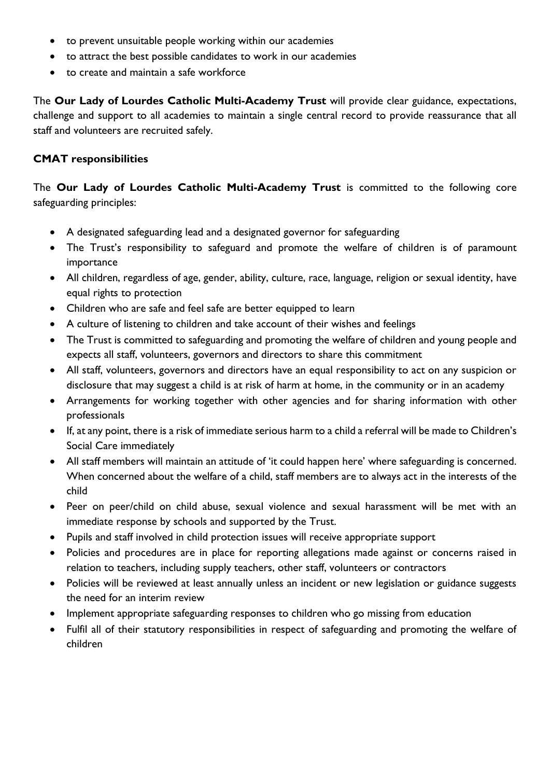- to prevent unsuitable people working within our academies
- to attract the best possible candidates to work in our academies
- to create and maintain a safe workforce

The **Our Lady of Lourdes Catholic Multi-Academy Trust** will provide clear guidance, expectations, challenge and support to all academies to maintain a single central record to provide reassurance that all staff and volunteers are recruited safely.

### **CMAT responsibilities**

The **Our Lady of Lourdes Catholic Multi-Academy Trust** is committed to the following core safeguarding principles:

- A designated safeguarding lead and a designated governor for safeguarding
- The Trust's responsibility to safeguard and promote the welfare of children is of paramount importance
- All children, regardless of age, gender, ability, culture, race, language, religion or sexual identity, have equal rights to protection
- Children who are safe and feel safe are better equipped to learn
- A culture of listening to children and take account of their wishes and feelings
- The Trust is committed to safeguarding and promoting the welfare of children and young people and expects all staff, volunteers, governors and directors to share this commitment
- All staff, volunteers, governors and directors have an equal responsibility to act on any suspicion or disclosure that may suggest a child is at risk of harm at home, in the community or in an academy
- Arrangements for working together with other agencies and for sharing information with other professionals
- If, at any point, there is a risk of immediate serious harm to a child a referral will be made to Children's Social Care immediately
- All staff members will maintain an attitude of 'it could happen here' where safeguarding is concerned. When concerned about the welfare of a child, staff members are to always act in the interests of the child
- Peer on peer/child on child abuse, sexual violence and sexual harassment will be met with an immediate response by schools and supported by the Trust.
- Pupils and staff involved in child protection issues will receive appropriate support
- Policies and procedures are in place for reporting allegations made against or concerns raised in relation to teachers, including supply teachers, other staff, volunteers or contractors
- Policies will be reviewed at least annually unless an incident or new legislation or guidance suggests the need for an interim review
- Implement appropriate safeguarding responses to children who go missing from education
- Fulfil all of their statutory responsibilities in respect of safeguarding and promoting the welfare of children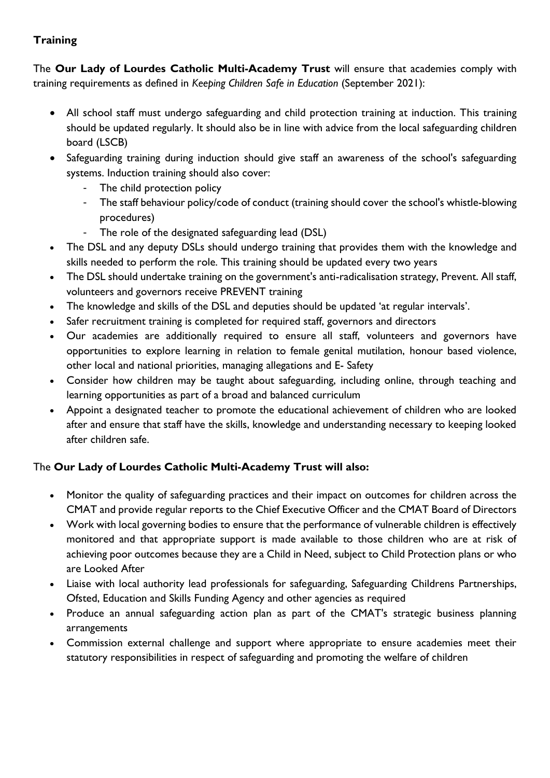# **Training**

The **Our Lady of Lourdes Catholic Multi-Academy Trust** will ensure that academies comply with training requirements as defined in *Keeping Children Safe in Education* (September 2021):

- All school staff must undergo safeguarding and child protection training at induction. This training should be updated regularly. It should also be in line with advice from the local safeguarding children board (LSCB)
- Safeguarding training during induction should give staff an awareness of the school's safeguarding systems. Induction training should also cover:
	- The child protection policy
	- The staff behaviour policy/code of conduct (training should cover the school's whistle-blowing procedures)
	- The role of the designated safeguarding lead (DSL)
- The DSL and any deputy DSLs should undergo training that provides them with the knowledge and skills needed to perform the role. This training should be updated every two years
- The DSL should undertake training on the government's anti-radicalisation strategy, Prevent. All staff, volunteers and governors receive PREVENT training
- The knowledge and skills of the DSL and deputies should be updated 'at regular intervals'.
- Safer recruitment training is completed for required staff, governors and directors
- Our academies are additionally required to ensure all staff, volunteers and governors have opportunities to explore learning in relation to female genital mutilation, honour based violence, other local and national priorities, managing allegations and E- Safety
- Consider how children may be taught about safeguarding, including online, through teaching and learning opportunities as part of a broad and balanced curriculum
- Appoint a designated teacher to promote the educational achievement of children who are looked after and ensure that staff have the skills, knowledge and understanding necessary to keeping looked after children safe.

# The **Our Lady of Lourdes Catholic Multi-Academy Trust will also:**

- Monitor the quality of safeguarding practices and their impact on outcomes for children across the CMAT and provide regular reports to the Chief Executive Officer and the CMAT Board of Directors
- Work with local governing bodies to ensure that the performance of vulnerable children is effectively monitored and that appropriate support is made available to those children who are at risk of achieving poor outcomes because they are a Child in Need, subject to Child Protection plans or who are Looked After
- Liaise with local authority lead professionals for safeguarding, Safeguarding Childrens Partnerships, Ofsted, Education and Skills Funding Agency and other agencies as required
- Produce an annual safeguarding action plan as part of the CMAT's strategic business planning arrangements
- Commission external challenge and support where appropriate to ensure academies meet their statutory responsibilities in respect of safeguarding and promoting the welfare of children